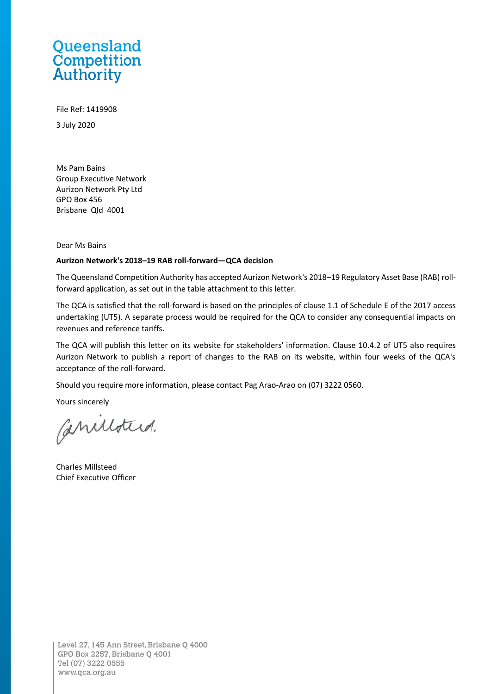## Queensland **Competition**<br>Authority

File Ref: 1419908 3 July 2020

Ms Pam Bains Group Executive Network Aurizon Network Pty Ltd GPO Box 456 Brisbane Qld 4001

Dear Ms Bains

## **Aurizon Network's 2018–19 RAB roll-forward—QCA decision**

The Queensland Competition Authority has accepted Aurizon Network's 2018–19 Regulatory Asset Base (RAB) rollforward application, as set out in the table attachment to this letter.

The QCA is satisfied that the roll-forward is based on the principles of clause 1.1 of Schedule E of the 2017 access undertaking (UT5). A separate process would be required for the QCA to consider any consequential impacts on revenues and reference tariffs.

The QCA will publish this letter on its website for stakeholders' information. Clause 10.4.2 of UT5 also requires Aurizon Network to publish a report of changes to the RAB on its website, within four weeks of the QCA's acceptance of the roll-forward.

Should you require more information, please contact Pag Arao-Arao on (07) 3222 0560.

Yours sincerely

Canulotted.

Charles Millsteed Chief Executive Officer